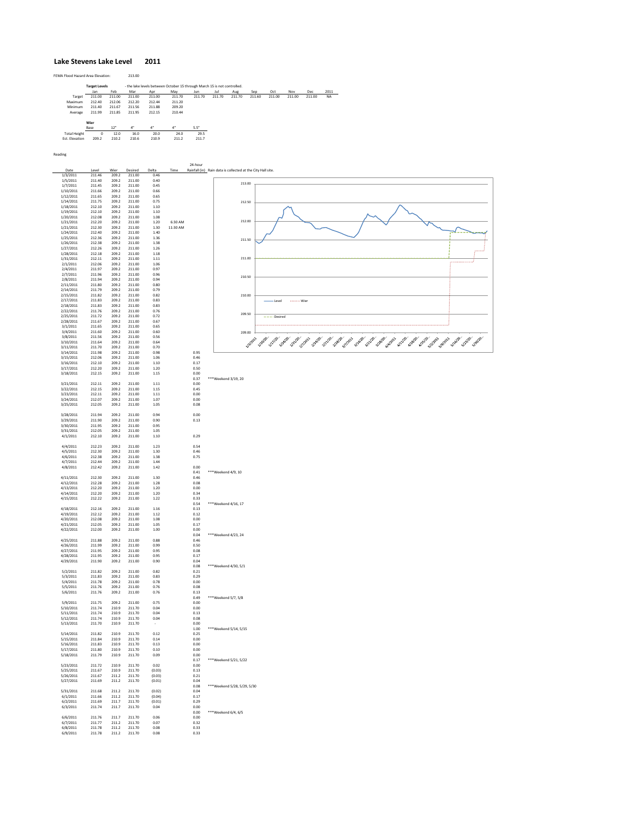## **Lake Stevens Lake Level 2011**

| FEMA Flood Hazard Area Elevation: |        | 213.00                                                                   |        |        |        |        |        |        |        |        |        |           |
|-----------------------------------|--------|--------------------------------------------------------------------------|--------|--------|--------|--------|--------|--------|--------|--------|--------|-----------|
| <b>Target Levels</b>              |        | - the lake levels between October 15 through March 15 is not controlled. |        |        |        |        |        |        |        |        |        |           |
| Jan                               | Feb    | Mar                                                                      | Apr    | May    | Jun    | Jul    | Aug    | Sep    | Oct    | Nov    | Dec    | 2011      |
| 211.00                            | 211.00 | 211.00                                                                   | 211.00 | 211.70 | 211.70 | 211.70 | 211.70 | 211.60 | 211.00 | 211.00 | 211.00 | <b>NA</b> |
| 212.40                            | 212.06 | 212.20                                                                   | 212.44 | 211.20 |        |        |        |        |        |        |        |           |
| 211.40                            | 211.67 | 211.56                                                                   | 211.88 | 209.20 |        |        |        |        |        |        |        |           |
| 211.99                            | 211.85 | 211.95                                                                   | 212.15 | 210.44 |        |        |        |        |        |        |        |           |
| Wier                              |        |                                                                          |        |        |        |        |        |        |        |        |        |           |
| Base                              | 12"    | 4"                                                                       | 4"     | 4"     | 5.5"   |        |        |        |        |        |        |           |
| 0                                 | 12.0   | 16.0                                                                     | 20.0   | 24.0   | 29.5   |        |        |        |        |        |        |           |
| 209.2                             | 210.2  | 210.6                                                                    | 210.9  | 211.2  | 211.7  |        |        |        |        |        |        |           |
|                                   |        |                                                                          |        |        |        |        |        |        |        |        |        |           |

Reading